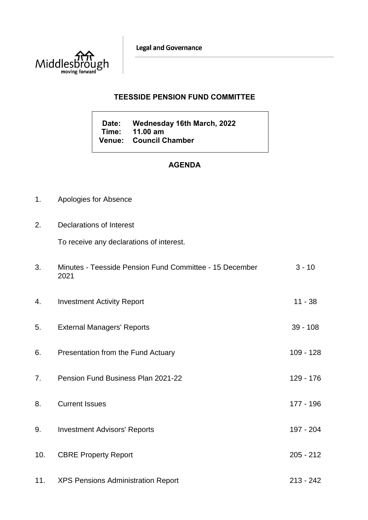**Legal and Governance** 



## **TEESSIDE PENSION FUND COMMITTEE**

**Date: Wednesday 16th March, 2022 Time: 11.00 am Venue: Council Chamber**

## **AGENDA**

- 1. Apologies for Absence
- 2. Declarations of Interest

To receive any declarations of interest.

| 3.  | Minutes - Teesside Pension Fund Committee - 15 December<br>2021 | $3 - 10$    |
|-----|-----------------------------------------------------------------|-------------|
| 4.  | <b>Investment Activity Report</b>                               | $11 - 38$   |
| 5.  | <b>External Managers' Reports</b>                               | $39 - 108$  |
| 6.  | Presentation from the Fund Actuary                              | $109 - 128$ |
| 7.  | Pension Fund Business Plan 2021-22                              | 129 - 176   |
| 8.  | <b>Current Issues</b>                                           | 177 - 196   |
| 9.  | <b>Investment Advisors' Reports</b>                             | 197 - 204   |
| 10. | <b>CBRE Property Report</b>                                     | $205 - 212$ |
| 11. | <b>XPS Pensions Administration Report</b>                       | $213 - 242$ |